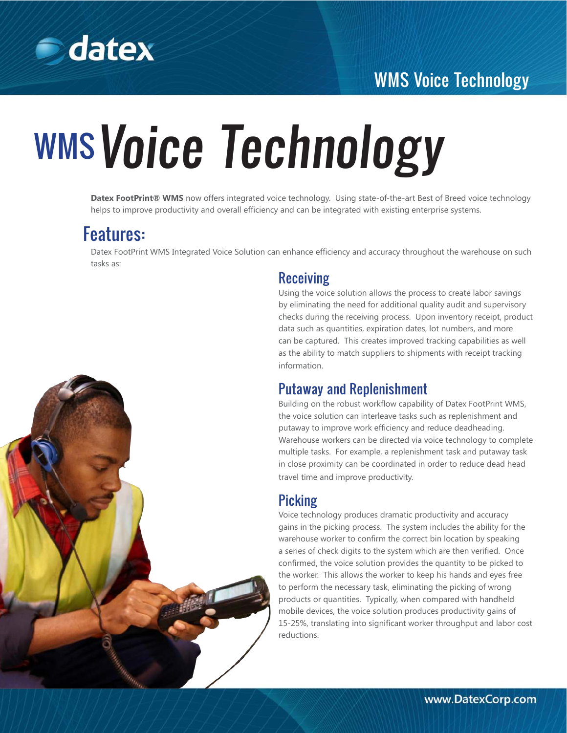

# WMS Voice Technology

# WMS Voice Technology

**Datex FootPrint® WMS** now offers integrated voice technology. Using state-of-the-art Best of Breed voice technology helps to improve productivity and overall efficiency and can be integrated with existing enterprise systems.

## Features:

Datex FootPrint WMS Integrated Voice Solution can enhance efficiency and accuracy throughout the warehouse on such tasks as:

#### Receiving

Using the voice solution allows the process to create labor savings by eliminating the need for additional quality audit and supervisory checks during the receiving process. Upon inventory receipt, product data such as quantities, expiration dates, lot numbers, and more can be captured. This creates improved tracking capabilities as well as the ability to match suppliers to shipments with receipt tracking information.

#### Putaway and Replenishment

Building on the robust workflow capability of Datex FootPrint WMS, the voice solution can interleave tasks such as replenishment and putaway to improve work efficiency and reduce deadheading. Warehouse workers can be directed via voice technology to complete multiple tasks. For example, a replenishment task and putaway task in close proximity can be coordinated in order to reduce dead head travel time and improve productivity.

#### Picking

Voice technology produces dramatic productivity and accuracy gains in the picking process. The system includes the ability for the warehouse worker to confirm the correct bin location by speaking a series of check digits to the system which are then verified. Once confirmed, the voice solution provides the quantity to be picked to the worker. This allows the worker to keep his hands and eyes free to perform the necessary task, eliminating the picking of wrong products or quantities. Typically, when compared with handheld mobile devices, the voice solution produces productivity gains of 15-25%, translating into significant worker throughput and labor cost reductions.

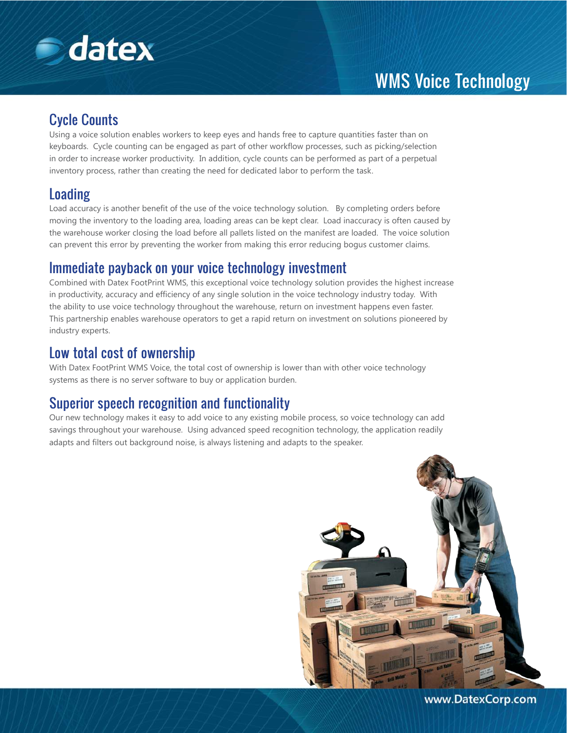

# WMS Voice Technology

#### Cycle Counts

Using a voice solution enables workers to keep eyes and hands free to capture quantities faster than on keyboards. Cycle counting can be engaged as part of other workflow processes, such as picking/selection in order to increase worker productivity. In addition, cycle counts can be performed as part of a perpetual inventory process, rather than creating the need for dedicated labor to perform the task.

#### Loading

Load accuracy is another benefit of the use of the voice technology solution. By completing orders before moving the inventory to the loading area, loading areas can be kept clear. Load inaccuracy is often caused by the warehouse worker closing the load before all pallets listed on the manifest are loaded. The voice solution can prevent this error by preventing the worker from making this error reducing bogus customer claims.

#### Immediate payback on your voice technology investment

Combined with Datex FootPrint WMS, this exceptional voice technology solution provides the highest increase in productivity, accuracy and efficiency of any single solution in the voice technology industry today. With the ability to use voice technology throughout the warehouse, return on investment happens even faster. This partnership enables warehouse operators to get a rapid return on investment on solutions pioneered by industry experts.

#### Low total cost of ownership

With Datex FootPrint WMS Voice, the total cost of ownership is lower than with other voice technology systems as there is no server software to buy or application burden.

#### Superior speech recognition and functionality

Our new technology makes it easy to add voice to any existing mobile process, so voice technology can add savings throughout your warehouse. Using advanced speed recognition technology, the application readily adapts and filters out background noise, is always listening and adapts to the speaker.



www.DatexCorp.com